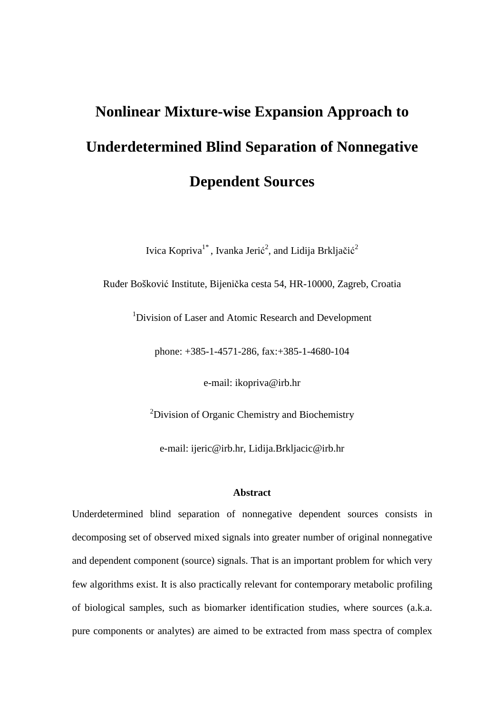# **Nonlinear Mixture-wise Expansion Approach to Underdetermined Blind Separation of Nonnegative Dependent Sources**

Ivica Kopriva $1^*$ , Ivanka Jerić<sup>2</sup>, and Lidija Brkljačić<sup>2</sup>

Ruñer Bošković Institute, Bijenička cesta 54, HR-10000, Zagreb, Croatia

<sup>1</sup>Division of Laser and Atomic Research and Development

phone: +385-1-4571-286, fax:+385-1-4680-104

e-mail: ikopriva@irb.hr

<sup>2</sup>Division of Organic Chemistry and Biochemistry

e-mail: ijeric@irb.hr, Lidija.Brkljacic@irb.hr

#### **Abstract**

Underdetermined blind separation of nonnegative dependent sources consists in decomposing set of observed mixed signals into greater number of original nonnegative and dependent component (source) signals. That is an important problem for which very few algorithms exist. It is also practically relevant for contemporary metabolic profiling of biological samples, such as biomarker identification studies, where sources (a.k.a. pure components or analytes) are aimed to be extracted from mass spectra of complex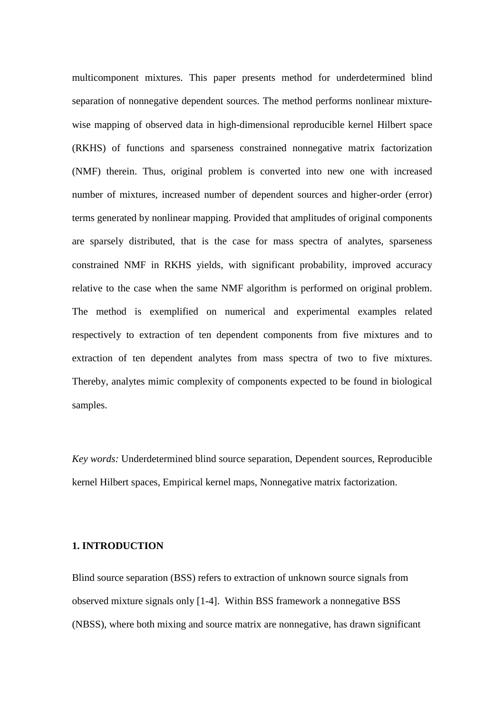multicomponent mixtures. This paper presents method for underdetermined blind separation of nonnegative dependent sources. The method performs nonlinear mixturewise mapping of observed data in high-dimensional reproducible kernel Hilbert space (RKHS) of functions and sparseness constrained nonnegative matrix factorization (NMF) therein. Thus, original problem is converted into new one with increased number of mixtures, increased number of dependent sources and higher-order (error) terms generated by nonlinear mapping. Provided that amplitudes of original components are sparsely distributed, that is the case for mass spectra of analytes, sparseness constrained NMF in RKHS yields, with significant probability, improved accuracy relative to the case when the same NMF algorithm is performed on original problem. The method is exemplified on numerical and experimental examples related respectively to extraction of ten dependent components from five mixtures and to extraction of ten dependent analytes from mass spectra of two to five mixtures. Thereby, analytes mimic complexity of components expected to be found in biological samples.

*Key words:* Underdetermined blind source separation, Dependent sources, Reproducible kernel Hilbert spaces, Empirical kernel maps, Nonnegative matrix factorization.

#### **1. INTRODUCTION**

Blind source separation (BSS) refers to extraction of unknown source signals from observed mixture signals only [1-4]. Within BSS framework a nonnegative BSS (NBSS), where both mixing and source matrix are nonnegative, has drawn significant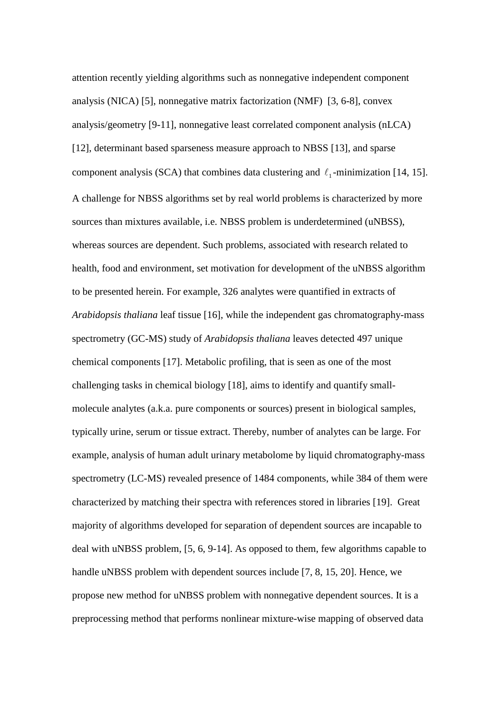attention recently yielding algorithms such as nonnegative independent component analysis (NICA) [5], nonnegative matrix factorization (NMF) [3, 6-8], convex analysis/geometry [9-11], nonnegative least correlated component analysis (nLCA) [12], determinant based sparseness measure approach to NBSS [13], and sparse component analysis (SCA) that combines data clustering and  $\ell_1$ -minimization [14, 15]. A challenge for NBSS algorithms set by real world problems is characterized by more sources than mixtures available, i.e. NBSS problem is underdetermined (uNBSS), whereas sources are dependent. Such problems, associated with research related to health, food and environment, set motivation for development of the uNBSS algorithm to be presented herein. For example, 326 analytes were quantified in extracts of *Arabidopsis thaliana* leaf tissue [16], while the independent gas chromatography-mass spectrometry (GC-MS) study of *Arabidopsis thaliana* leaves detected 497 unique chemical components [17]. Metabolic profiling, that is seen as one of the most challenging tasks in chemical biology [18], aims to identify and quantify smallmolecule analytes (a.k.a. pure components or sources) present in biological samples, typically urine, serum or tissue extract. Thereby, number of analytes can be large. For example, analysis of human adult urinary metabolome by liquid chromatography-mass spectrometry (LC-MS) revealed presence of 1484 components, while 384 of them were characterized by matching their spectra with references stored in libraries [19]. Great majority of algorithms developed for separation of dependent sources are incapable to deal with uNBSS problem, [5, 6, 9-14]. As opposed to them, few algorithms capable to handle uNBSS problem with dependent sources include [7, 8, 15, 20]. Hence, we propose new method for uNBSS problem with nonnegative dependent sources. It is a preprocessing method that performs nonlinear mixture-wise mapping of observed data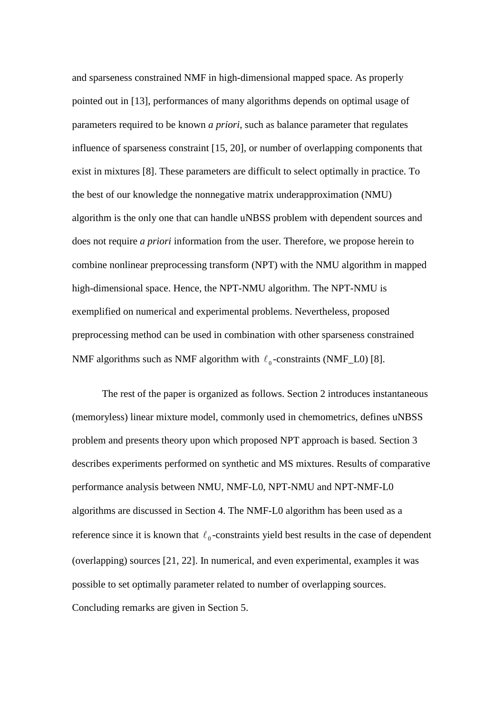and sparseness constrained NMF in high-dimensional mapped space. As properly pointed out in [13], performances of many algorithms depends on optimal usage of parameters required to be known *a priori*, such as balance parameter that regulates influence of sparseness constraint [15, 20], or number of overlapping components that exist in mixtures [8]. These parameters are difficult to select optimally in practice. To the best of our knowledge the nonnegative matrix underapproximation (NMU) algorithm is the only one that can handle uNBSS problem with dependent sources and does not require *a priori* information from the user. Therefore, we propose herein to combine nonlinear preprocessing transform (NPT) with the NMU algorithm in mapped high-dimensional space. Hence, the NPT-NMU algorithm. The NPT-NMU is exemplified on numerical and experimental problems. Nevertheless, proposed preprocessing method can be used in combination with other sparseness constrained NMF algorithms such as NMF algorithm with  $\ell_0$ -constraints (NMF\_L0) [8].

 The rest of the paper is organized as follows. Section 2 introduces instantaneous (memoryless) linear mixture model, commonly used in chemometrics, defines uNBSS problem and presents theory upon which proposed NPT approach is based. Section 3 describes experiments performed on synthetic and MS mixtures. Results of comparative performance analysis between NMU, NMF-L0, NPT-NMU and NPT-NMF-L0 algorithms are discussed in Section 4. The NMF-L0 algorithm has been used as a reference since it is known that  $\ell_0$ -constraints yield best results in the case of dependent (overlapping) sources [21, 22]. In numerical, and even experimental, examples it was possible to set optimally parameter related to number of overlapping sources. Concluding remarks are given in Section 5.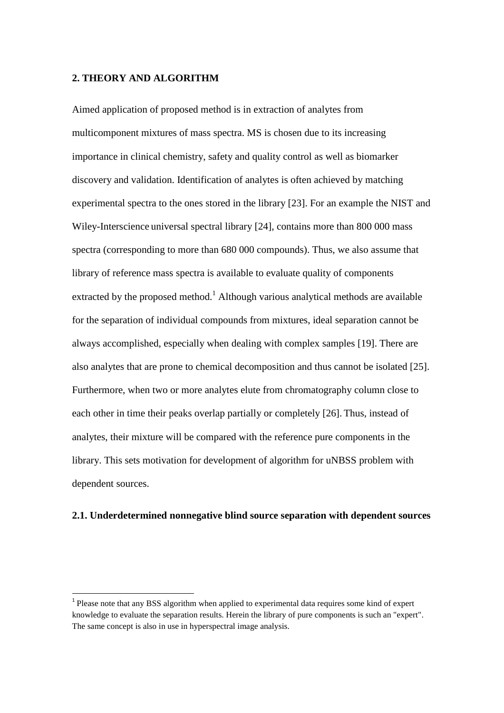#### **2. THEORY AND ALGORITHM**

l

Aimed application of proposed method is in extraction of analytes from multicomponent mixtures of mass spectra. MS is chosen due to its increasing importance in clinical chemistry, safety and quality control as well as biomarker discovery and validation. Identification of analytes is often achieved by matching experimental spectra to the ones stored in the library [23]. For an example the NIST and Wiley-Interscience universal spectral library [24], contains more than 800 000 mass spectra (corresponding to more than 680 000 compounds). Thus, we also assume that library of reference mass spectra is available to evaluate quality of components extracted by the proposed method.<sup>1</sup> Although various analytical methods are available for the separation of individual compounds from mixtures, ideal separation cannot be always accomplished, especially when dealing with complex samples [19]. There are also analytes that are prone to chemical decomposition and thus cannot be isolated [25]. Furthermore, when two or more analytes elute from chromatography column close to each other in time their peaks overlap partially or completely [26]. Thus, instead of analytes, their mixture will be compared with the reference pure components in the library. This sets motivation for development of algorithm for uNBSS problem with dependent sources.

#### **2.1. Underdetermined nonnegative blind source separation with dependent sources**

<sup>&</sup>lt;sup>1</sup> Please note that any BSS algorithm when applied to experimental data requires some kind of expert knowledge to evaluate the separation results. Herein the library of pure components is such an "expert". The same concept is also in use in hyperspectral image analysis.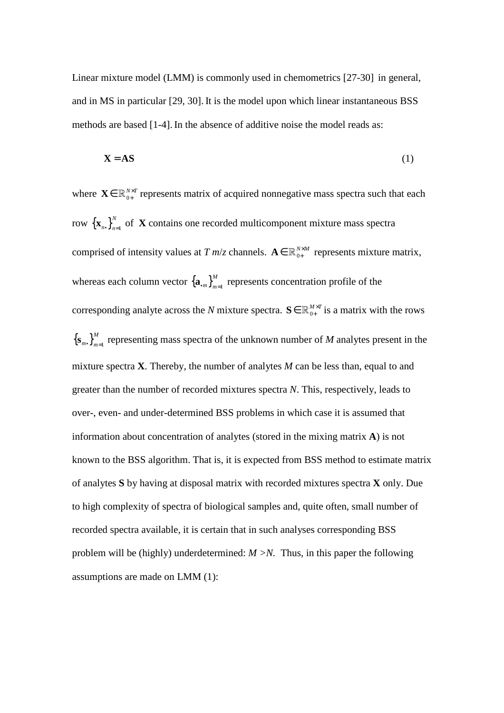Linear mixture model (LMM) is commonly used in chemometrics [27-30] in general, and in MS in particular [29, 30]. It is the model upon which linear instantaneous BSS methods are based [1-4].In the absence of additive noise the model reads as:

$$
X = AS
$$
 (1)

where  $\mathbf{X} \in \mathbb{R}_{0+}^{N \times T}$  represents matrix of acquired nonnegative mass spectra such that each row  ${\{\mathbf{x}_{n\bullet}\}}_{n=1}^{N}$  $\mathbf{x}_{n}$ ,  $\int_{n=1}^{N}$  of **X** contains one recorded multicomponent mixture mass spectra comprised of intensity values at  $T m/z$  channels.  $\mathbf{A} \in \mathbb{R}_{0+}^{N \times M}$  represents mixture matrix, whereas each column vector  $\left\{ \mathbf{a}_{m}\right\} _{m=1}^{M}$  $\mathbf{a}_{m}$ <sub>*m*<sup>1</sup></sub><sup>*m*</sup><sub>*m*<sup>1</sup></sub> represents concentration profile of the corresponding analyte across the *N* mixture spectra.  $S \in \mathbb{R}_{0+}^{M \times T}$  is a matrix with the rows  ${\left\{ {{{\bf{s}}_m}} \right\}_{m = 1}^M}$  $\mathbf{s}_{m}$ ,  $\int_{m=1}^{m}$  representing mass spectra of the unknown number of *M* analytes present in the mixture spectra **X**. Thereby, the number of analytes *M* can be less than, equal to and greater than the number of recorded mixtures spectra *N*. This, respectively, leads to over-, even- and under-determined BSS problems in which case it is assumed that information about concentration of analytes (stored in the mixing matrix **A**) is not known to the BSS algorithm. That is, it is expected from BSS method to estimate matrix of analytes **S** by having at disposal matrix with recorded mixtures spectra **X** only. Due to high complexity of spectra of biological samples and, quite often, small number of recorded spectra available, it is certain that in such analyses corresponding BSS problem will be (highly) underdetermined: *M >N.* Thus, in this paper the following assumptions are made on LMM (1):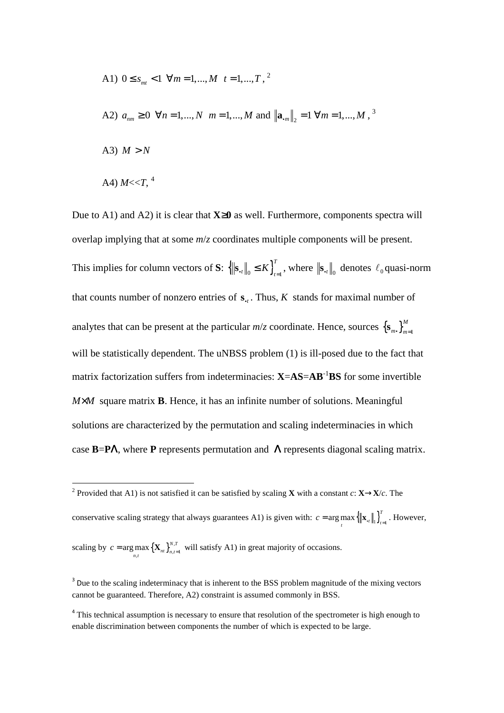A1) 
$$
0 \le s_{m} < 1 \ \forall m = 1, \ldots, M \ t = 1, \ldots, T, \stackrel{?}{}
$$
  
\nA2)  $a_{nm} \ge 0 \ \forall n = 1, \ldots, N \ m = 1, \ldots, M \text{ and } ||a_{m}||_{2} = 1 \ \forall m = 1, \ldots, M, \stackrel{?}{}$   
\nA3)  $M > N$   
\nA4)  $M < T, \stackrel{4}{}$ 

Due to A1) and A2) it is clear that **X**≥**0** as well. Furthermore, components spectra will overlap implying that at some *m*/*z* coordinates multiple components will be present. This implies for column vectors of **S**:  $\left\{\|\mathbf{s}_{\cdot\iota}\|_{0} \leq K\right\}_{\iota=1}^{T}$  $\mathbf{s}_{t}$ ,  $\|_{0} \leq K \}_{t=1}^{T}$ , where  $\|\mathbf{s}_{t}\|_{0}$  denotes  $\ell_{0}$  quasi-norm that counts number of nonzero entries of  $s_{t}$ . Thus, *K* stands for maximal number of analytes that can be present at the particular  $m/z$  coordinate. Hence, sources  ${S_{m,\cdot}}_{m=1}^{M}$  $\mathbf{s}_{m}$ ,  $\Big\}^{m}_{m=1}$ will be statistically dependent. The uNBSS problem (1) is ill-posed due to the fact that matrix factorization suffers from indeterminacies: **X**=**AS**=**AB**-1**BS** for some invertible *M*×*M* square matrix **B**. Hence, it has an infinite number of solutions. Meaningful solutions are characterized by the permutation and scaling indeterminacies in which case **B**=**P**Λ, where **P** represents permutation and Λ represents diagonal scaling matrix.

l

<sup>&</sup>lt;sup>2</sup> Provided that A1) is not satisfied it can be satisfied by scaling **X** with a constant *c*: **X**→**X**/*c*. The conservative scaling strategy that always guarantees A1) is given with:  $c = \arg \max \{ ||\mathbf{x}_{n}||_1 \}_{n=1}^T$  $c = \arg \max_{t} {\left\| {\bf{x}}_{.t} \right\|_1 \Big|_{t=1}^{t}}$ . However, scaling by  $c = \arg \max_{n,t} {\left\{ {\bf{X}}_{nt} \right\}_{n,t=1}^{N,T}}$  $c = \arg \max_{n,t} {\{\mathbf{X}_{nt}\}}_{n,t=1}^{N,t}$  will satisfy A1) in great majority of occasions.

<sup>&</sup>lt;sup>3</sup> Due to the scaling indeterminacy that is inherent to the BSS problem magnitude of the mixing vectors cannot be guaranteed. Therefore, A2) constraint is assumed commonly in BSS.

<sup>&</sup>lt;sup>4</sup> This technical assumption is necessary to ensure that resolution of the spectrometer is high enough to enable discrimination between components the number of which is expected to be large.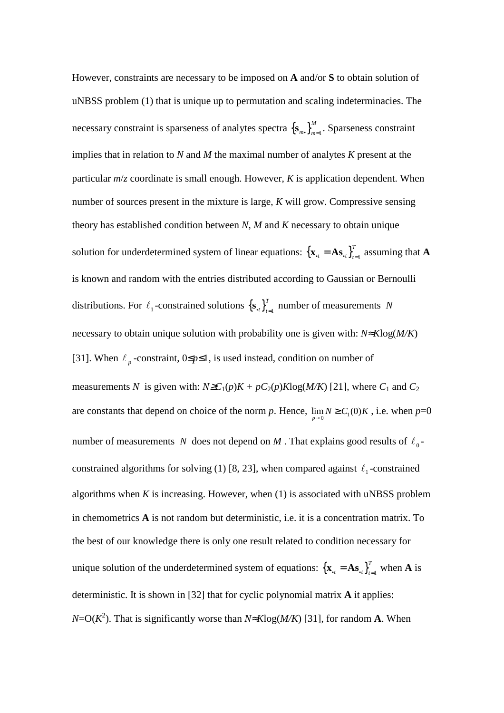However, constraints are necessary to be imposed on **A** and/or **S** to obtain solution of uNBSS problem (1) that is unique up to permutation and scaling indeterminacies. The necessary constraint is sparseness of analytes spectra  $\{s_{m}^{\,} \}_{m=1}^{M}$  $\left[\mathbf{s}_m\mathbf{B}\right]_{m=1}^m$ . Sparseness constraint implies that in relation to *N* and *M* the maximal number of analytes *K* present at the particular *m*/*z* coordinate is small enough. However, *K* is application dependent. When number of sources present in the mixture is large, *K* will grow. Compressive sensing theory has established condition between *N*, *M* and *K* necessary to obtain unique solution for underdetermined system of linear equations:  $\{ \mathbf{x}_{t} = \mathbf{A}\mathbf{s}_{t} \}_{t=1}^{T}$  $\mathbf{x}_{t} = \mathbf{A}\mathbf{s}_{t}$ ,  $\int_{t=1}^{t}$  assuming that **A** is known and random with the entries distributed according to Gaussian or Bernoulli distributions. For  $\ell_1$ -constrained solutions  $\{s_{r}\}_{r=1}^T$  $\left\{\mathbf{s}_{\cdot t}\right\}_{t=1}^{T}$  number of measurements *N* necessary to obtain unique solution with probability one is given with: *N*≈*K*log(*M/K*) [31]. When  $\ell_p$ -constraint,  $0 \le p \le 1$ , is used instead, condition on number of measurements *N* is given with:  $N \geq C_1(p)K + pC_2(p)K\log(M/K)$  [21], where  $C_1$  and  $C_2$ are constants that depend on choice of the norm *p*. Hence,  $\lim_{p\to 0} N \ge C_1(0)K$ , i.e. when  $p=0$ number of measurements *N* does not depend on *M*. That explains good results of  $\ell_0$ constrained algorithms for solving (1) [8, 23], when compared against  $\ell_1$ -constrained algorithms when  $K$  is increasing. However, when  $(1)$  is associated with uNBSS problem in chemometrics **A** is not random but deterministic, i.e. it is a concentration matrix. To the best of our knowledge there is only one result related to condition necessary for unique solution of the underdetermined system of equations:  $\{ {\bf x}_{.t} = {\bf A} {\bf s}_{.t} \}_{t=1}^T$  $\mathbf{x}_{t} = \mathbf{A}\mathbf{s}_{t}$   $\}_{t=1}^{T}$  when **A** is deterministic. It is shown in [32] that for cyclic polynomial matrix **A** it applies: *N*=O(*K* 2 ). That is significantly worse than *N*≈*K*log(*M/K*) [31], for random **A**. When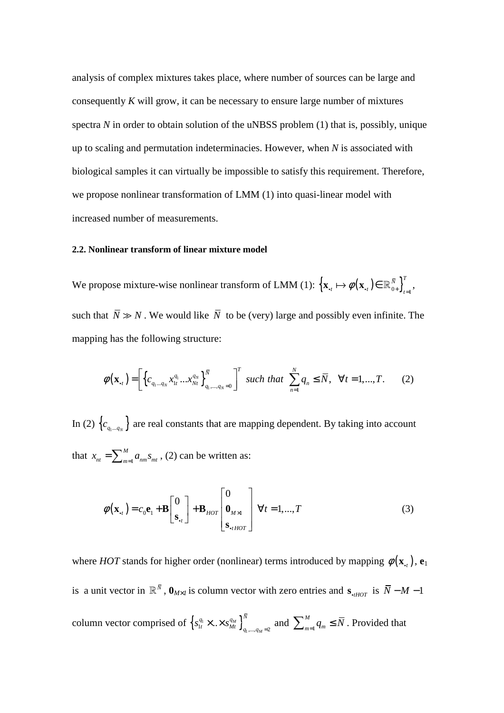analysis of complex mixtures takes place, where number of sources can be large and consequently *K* will grow, it can be necessary to ensure large number of mixtures spectra *N* in order to obtain solution of the uNBSS problem (1) that is, possibly, unique up to scaling and permutation indeterminacies. However, when *N* is associated with biological samples it can virtually be impossible to satisfy this requirement. Therefore, we propose nonlinear transformation of LMM (1) into quasi-linear model with increased number of measurements.

#### **2.2. Nonlinear transform of linear mixture model**

We propose mixture-wise nonlinear transform of LMM (1):  $\left\{ \mathbf{x}_{.t} \mapsto \phi(\mathbf{x}_{.t}) \in \mathbb{R}_{0+}^{\bar{N}} \right\}_{t=1}^{T}$  $\mathbf{x}_{\cdot t} \mapsto \phi(\mathbf{x}_{\cdot t}) \in \mathbb{R}_{0+}^{\bar{N}} \Big]_{t=1}^T,$ such that  $\overline{N} \gg N$ . We would like  $\overline{N}$  to be (very) large and possibly even infinite. The mapping has the following structure:

$$
\phi(\mathbf{x}_{.t}) = \left[ \left\{ c_{q_1...q_N} x_{1t}^{q_1} ... x_{Nt}^{q_N} \right\}_{q_1,...,q_N=0}^N \right]^T \text{ such that } \sum_{n=1}^N q_n \le \overline{N}, \ \forall t = 1,...,T. \tag{2}
$$

In (2)  $\{c_{q_1...q_N}\}$  are real constants that are mapping dependent. By taking into account that  $x_{nt} = \sum_{m=1}^{n}$ *M*  $x_{nt} = \sum_{m=1}^{M} a_{nm} s_{mt}$ , (2) can be written as:

$$
\phi(\mathbf{x}_{\cdot t}) = c_0 \mathbf{e}_1 + \mathbf{B} \begin{bmatrix} 0 \\ \mathbf{s}_{\cdot t} \end{bmatrix} + \mathbf{B}_{HOT} \begin{bmatrix} 0 \\ \mathbf{0}_{M \times 1} \\ \mathbf{s}_{\cdot t HOT} \end{bmatrix} \forall t = 1, ..., T
$$
 (3)

where *HOT* stands for higher order (nonlinear) terms introduced by mapping  $\phi(\mathbf{x}_i)$ ,  $\mathbf{e}_1$ is a unit vector in  $\mathbb{R}^{\bar{N}}$ ,  $\mathbf{0}_{M\times I}$  is column vector with zero entries and  $\mathbf{s}_{\text{off}}$  is  $\bar{N}-M-1$ column vector comprised of  $\left\{ s_{1t}^{q_1} \times \ldots \times s_{Mt}^{q_M} \right\}$  $S_{1t}^{q_1} \times \ldots \times S_{Mt}^{q_M} \Big\}_{q_1, ..., q_M = 2}$ *M*  $q_1 \sim q_q q_M$ <sup>N</sup>  $s_{1t}^{q_1} \times \ldots \times s_{Mt}^{q_M} \Big|_{q_1,\ldots,q_M=2}^{q_1}$  and  $\sum_{m=1}^{M}$ *M*  $\sum_{m=1}^{M} q_m \leq \overline{N}$ . Provided that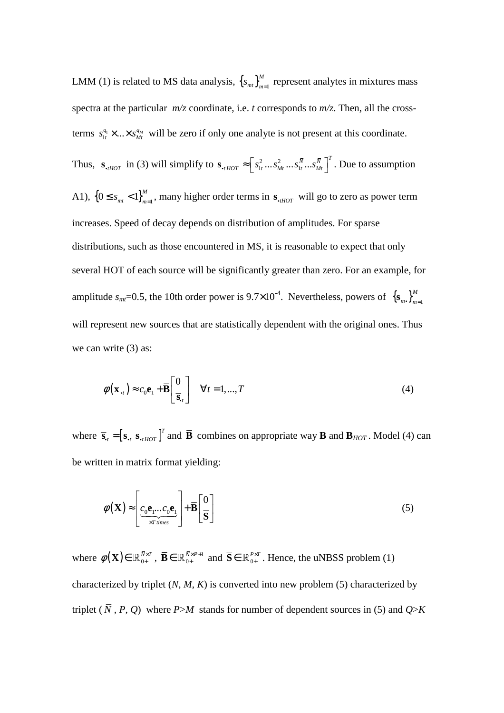LMM (1) is related to MS data analysis,  $\{s_{m} \}_{m=1}^{M}$  $\left\{ s_{mt} \right\}_{m=1}^{M}$  represent analytes in mixtures mass spectra at the particular *m/z* coordinate, i.e. *t* corresponds to *m/z*. Then, all the crossterms  $s_{1t}^{q_1} \times \ldots \times s_{Mt}^{q_M}$  will be zero if only one analyte is not present at this coordinate.

Thus,  $\mathbf{s}_{\text{HOT}}$  in (3) will simplify to  $\mathbf{s}_{\text{HOT}} \approx \left[s_{1t}^2 \dots s_{Mt}^2 \dots s_{Mt}^{\overline{N}} \dots s_{Mt}^{\overline{N}}\right]^T$ . Due to assumption A1),  $\{0 \le s_{mt} < 1\}_{m=1}^M$ , many higher order terms in  $s_{thOT}$  will go to zero as power term increases. Speed of decay depends on distribution of amplitudes. For sparse distributions, such as those encountered in MS, it is reasonable to expect that only several HOT of each source will be significantly greater than zero. For an example, for amplitude  $s_{mt}$ =0.5, the 10th order power is 9.7×10<sup>-4</sup>. Nevertheless, powers of  ${s_{m} \choose m}$ <sup>M</sup><sub>m=1</sub>  $\mathbf{s}_{m\bullet} \right\}_{m=1}^{m}$ will represent new sources that are statistically dependent with the original ones. Thus we can write (3) as:

$$
\phi(\mathbf{x}_{\cdot,t}) \approx c_0 \mathbf{e}_1 + \overline{\mathbf{B}} \begin{bmatrix} 0 \\ \overline{\mathbf{s}}_{\cdot t} \end{bmatrix} \quad \forall t = 1,...,T
$$
\n(4)

where  $\overline{\mathbf{s}}_t = [\mathbf{s}_t \ \mathbf{s}_{t} \ \mathbf{s}_{t} \cdot \mathbf{s}_{t} \cdot \mathbf{s}_{t}]^T$  and  $\overline{\mathbf{B}}$  combines on appropriate way **B** and  $\mathbf{B}_{HOT}$ . Model (4) can be written in matrix format yielding:

$$
\phi(\mathbf{X}) \approx \left[ \underbrace{c_0 \mathbf{e}_1 \dots c_0 \mathbf{e}_1}_{\times T \text{ times}} \right] + \overline{\mathbf{B}} \left[ \frac{0}{\mathbf{S}} \right]
$$
\n(5)

where  $\phi(\mathbf{X}) \in \mathbb{R}_{0+}^{\bar{N} \times T}$ ,  $\overline{\mathbf{B}} \in \mathbb{R}_{0+}^{\bar{N} \times P+1}$  $\overline{\mathbf{B}} \in \mathbb{R}_{0+}^{\overline{N} \times P+1}$  and  $\overline{\mathbf{S}} \in \mathbb{R}_{0+}^{P \times T}$ . Hence, the uNBSS problem (1) characterized by triplet (*N*, *M*, *K*) is converted into new problem (5) characterized by triplet  $(\bar{N}, P, Q)$  where *P*>*M* stands for number of dependent sources in (5) and *Q*>*K*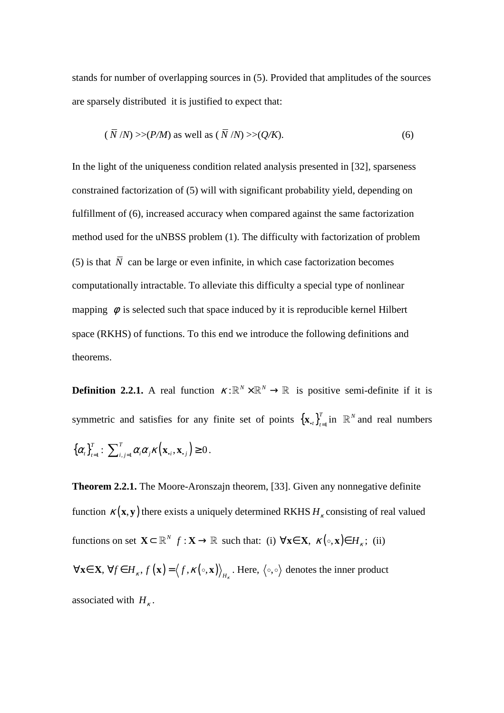stands for number of overlapping sources in (5). Provided that amplitudes of the sources are sparsely distributed it is justified to expect that:

$$
(\overline{N}/N) \gg (P/M) \text{ as well as } (\overline{N}/N) \gg (Q/K). \tag{6}
$$

In the light of the uniqueness condition related analysis presented in [32], sparseness constrained factorization of (5) will with significant probability yield, depending on fulfillment of (6), increased accuracy when compared against the same factorization method used for the uNBSS problem (1). The difficulty with factorization of problem (5) is that  $\overline{N}$  can be large or even infinite, in which case factorization becomes computationally intractable. To alleviate this difficulty a special type of nonlinear mapping  $\phi$  is selected such that space induced by it is reproducible kernel Hilbert space (RKHS) of functions. To this end we introduce the following definitions and theorems.

**Definition 2.2.1.** A real function  $\kappa : \mathbb{R}^N \times \mathbb{R}^N \to \mathbb{R}$  is positive semi-definite if it is symmetric and satisfies for any finite set of points  $\{ {\bf x}_{,t} \}_{t=1}^T$  $\mathbf{x}_{\cdot t} \bigg|_{t=1}^T$  in  $\mathbb{R}^N$  and real numbers  $\left\{ \boldsymbol{\alpha}_{\!_{t}}\right\} _{t=1}^{T}$  $\alpha_i \bigg\}_{i=1}^T : \sum_{i,j=1}^T \alpha_i \alpha_j \kappa \big( \mathbf{x}_{\cdot,i}, \mathbf{x}_{\cdot,j} \big) \ge 0$ .

**Theorem 2.2.1.** The Moore-Aronszajn theorem, [33]. Given any nonnegative definite function  $\kappa(\mathbf{x}, \mathbf{y})$  there exists a uniquely determined RKHS  $H_k$  consisting of real valued functions on set  $\mathbf{X} \subset \mathbb{R}^N$   $f: \mathbf{X} \to \mathbb{R}$  such that: (i)  $\forall \mathbf{x} \in \mathbf{X}, \kappa(\circ, \mathbf{x}) \in H_{\kappa}$ ; (ii)  $\forall$ **x** $\in$  **X**,  $\forall$ *f* $\in$  *H*<sub>*k*</sub>, *f* (**x**) =  $\langle$ *f*, *K*( $\circ$ , **x**))<sub>*H*<sub>*k*</sub>. Here,  $\langle \circ, \circ \rangle$  denotes the inner product</sub> associated with  $H_{\kappa}$ .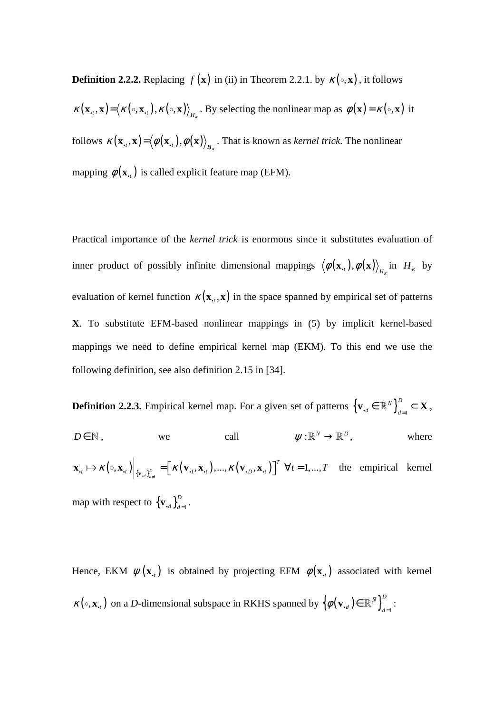**Definition 2.2.2.** Replacing  $f(\mathbf{x})$  in (ii) in Theorem 2.2.1. by  $\kappa(\circ, \mathbf{x})$ , it follows

 $\kappa(\mathbf{x}_{t}, \mathbf{x}) = \langle \kappa(\circ, \mathbf{x}_{t}), \kappa(\circ, \mathbf{x}) \rangle_{H_{\kappa}}$ . By selecting the nonlinear map as  $\phi(\mathbf{x}) = \kappa(\circ, \mathbf{x})$  it follows  $\kappa(\mathbf{x}_{t}, \mathbf{x}) = (\phi(\mathbf{x}_{t}), \phi(\mathbf{x}))_{H_{\kappa}}$ . That is known as *kernel trick*. The nonlinear mapping  $\phi(\mathbf{x}_i)$  is called explicit feature map (EFM).

Practical importance of the *kernel trick* is enormous since it substitutes evaluation of inner product of possibly infinite dimensional mappings  $\langle \phi(\mathbf{x}, t), \phi(\mathbf{x}) \rangle_{H_K}$  in  $H_K$  by evaluation of kernel function  $\kappa(\mathbf{x}_t, \mathbf{x})$  in the space spanned by empirical set of patterns **X**. To substitute EFM-based nonlinear mappings in (5) by implicit kernel-based mappings we need to define empirical kernel map (EKM). To this end we use the following definition, see also definition 2.15 in [34].

**Definition 2.2.3.** Empirical kernel map. For a given set of patterns  $\left\{ \mathbf{v}_{d} \in \mathbb{R}^{N} \right\}_{d=1}^{D}$  $\mathbf{v}_{\cdot d} \in \mathbb{R}^N$  $\Big\}_{d=1}^D \subset \mathbf{X},$  $D \in \mathbb{N}$ , we call  $W : \mathbb{R}^N \to \mathbb{R}^D$ , where  $\left(\circ, \mathbf{x}_{\cdot,t}\right)\Big|_{\left\{\mathbf{v}_{\cdot d}\right\}_{d=1}^D} = \left[\right. \mathcal{K}\left(\mathbf{v}_{\cdot1}, \mathbf{x}_{\cdot,t}\right), ..., \mathcal{K}\left(\mathbf{v}_{\cdot D}, \mathbf{x}_{\cdot,t}\right)\right]^\prime \hspace{0.2cm} \forall t = 1, ...,$  $\mathbf{x}_{t} \mapsto \kappa(\cdot, \mathbf{x}_{t}) \Big|_{\{\mathbf{v}_{t} \}_{t=1}^{D}} = \Big[ \kappa(\mathbf{v}_{t}, \mathbf{x}_{t}), ..., \kappa(\mathbf{v}_{t}, \mathbf{x}_{t}) \Big]^T \quad \forall t = 1, ..., T$  the empirical kernel map with respect to  ${\mathbf \{v_{\text{-}d}\}}_{d=1}^D$  $\mathbf{v}_{\cdot d} \bigg\}_{d=1}^{D}$ .

Hence, EKM  $\psi(\mathbf{x}_{i})$  is obtained by projecting EFM  $\phi(\mathbf{x}_{i})$  associated with kernel  $\kappa(\circ, \mathbf{x}_{\cdot}, t)$  on a *D*-dimensional subspace in RKHS spanned by  $\left\{\phi(\mathbf{v}_{\cdot, d}) \in \mathbb{R}^{\bar{N}}\right\}_{d=1}^{D}$  $\phi(\mathbf{v}_{\cdot d}) \in \mathbb{R}^{\bar{N}}$   $\Big\}_{d=1}^D$ :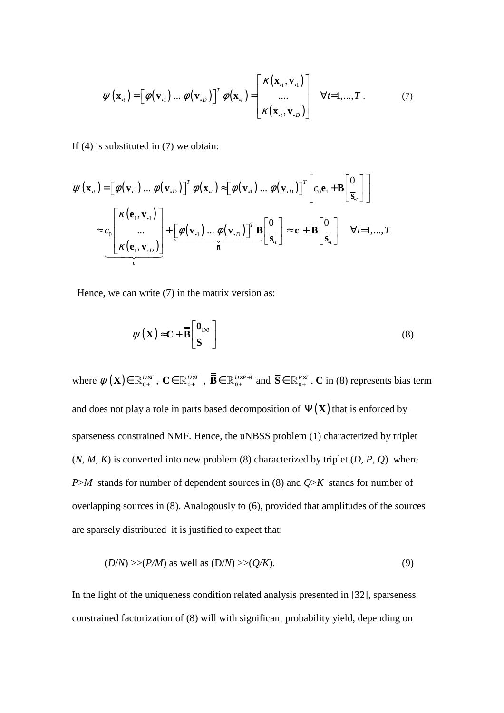$$
\psi(\mathbf{x}_{.t}) = \left[\phi(\mathbf{v}_{.1}) \dots \phi(\mathbf{v}_{.D})\right]^T \phi(\mathbf{x}_{.t}) = \begin{bmatrix} \kappa(\mathbf{x}_{.t}, \mathbf{v}_{.1}) \\ \dots \\ \kappa(\mathbf{x}_{.t}, \mathbf{v}_{.D}) \end{bmatrix} \quad \forall t = 1, ..., T. \tag{7}
$$

If (4) is substituted in (7) we obtain:

$$
\psi(\mathbf{x}_{\cdot t}) = \left[\phi(\mathbf{v}_{\cdot 1}) \dots \phi(\mathbf{v}_{\cdot D})\right]^T \phi(\mathbf{x}_{\cdot t}) \approx \left[\phi(\mathbf{v}_{\cdot 1}) \dots \phi(\mathbf{v}_{\cdot D})\right]^T \left[c_0 \mathbf{e}_1 + \overline{\mathbf{B}} \left[\frac{0}{\overline{\mathbf{s}}_{\cdot t}}\right]\right]
$$

$$
\approx c_0 \left[\begin{matrix} \kappa(\mathbf{e}_1, \mathbf{v}_{\cdot 1}) \\ \dots \\ \kappa(\mathbf{e}_1, \mathbf{v}_{\cdot D}) \end{matrix}\right] + \left[\frac{\phi(\mathbf{v}_{\cdot 1}) \dots \phi(\mathbf{v}_{\cdot D})}{\overline{\mathbf{B}}} \right]^T \overline{\mathbf{B}} \left[\frac{0}{\overline{\mathbf{s}}_{\cdot t}}\right] \approx \mathbf{c} + \overline{\mathbf{B}} \left[\frac{0}{\overline{\mathbf{s}}_{\cdot t}}\right] \quad \forall t = 1, \dots, T
$$

Hence, we can write  $(7)$  in the matrix version as:

$$
\psi(\mathbf{X}) \approx \mathbf{C} + \overline{\mathbf{B}} \left[ \frac{\mathbf{0}_{1 \times T}}{\overline{\mathbf{S}}} \right]
$$
 (8)

where  $\psi(\mathbf{X}) \in \mathbb{R}_{0+}^{D \times T}$ ,  $\mathbf{C} \in \mathbb{R}_{0+}^{D \times T}$ ,  $\overline{\mathbf{B}} \in \mathbb{R}_{0+}^{D \times P+1}$  $\overline{\mathbf{B}} \in \mathbb{R}_{0+}^{D \times P+1}$  and  $\overline{\mathbf{S}} \in \mathbb{R}_{0+}^{P \times T}$ . **C** in (8) represents bias term and does not play a role in parts based decomposition of  $\Psi(\mathbf{X})$  that is enforced by sparseness constrained NMF. Hence, the uNBSS problem (1) characterized by triplet  $(N, M, K)$  is converted into new problem  $(8)$  characterized by triplet  $(D, P, Q)$  where *P*>*M* stands for number of dependent sources in (8) and *Q*>*K* stands for number of overlapping sources in (8). Analogously to (6), provided that amplitudes of the sources are sparsely distributed it is justified to expect that:

$$
(D/N) >> (P/M) \text{ as well as } (D/N) >> (Q/K). \tag{9}
$$

In the light of the uniqueness condition related analysis presented in [32], sparseness constrained factorization of (8) will with significant probability yield, depending on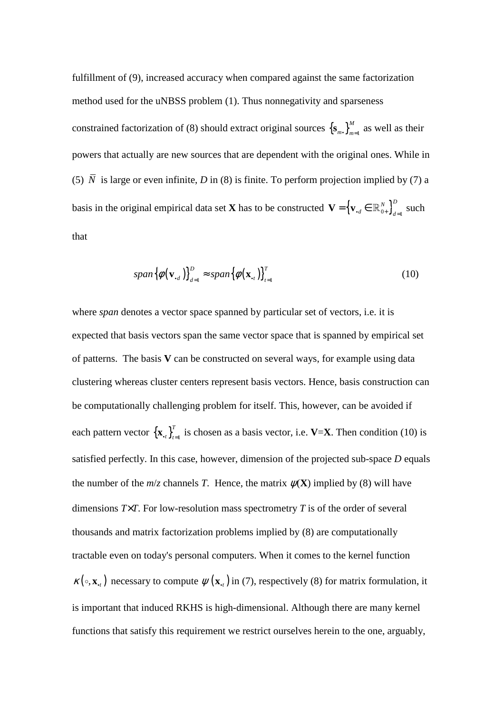fulfillment of (9), increased accuracy when compared against the same factorization method used for the uNBSS problem (1). Thus nonnegativity and sparseness constrained factorization of (8) should extract original sources  ${S_{m,\}}_{m=1}^{M}$  $\left\{ \mathbf{s}_m, \mathbf{s} \right\}_{m=1}^M$  as well as their powers that actually are new sources that are dependent with the original ones. While in (5)  $\overline{N}$  is large or even infinite, *D* in (8) is finite. To perform projection implied by (7) a basis in the original empirical data set **X** has to be constructed  ${\bf V} = \left\{ {\bf v}_{\cdot d} \in \mathbb{R}_{0+}^N \right\}_{d=1}^D$  $\mathbf{V} = \left\{ \mathbf{v}_{\cdot d} \in \mathbb{R}_{0+}^{N} \right\}_{d=1}^{D}$  such that

$$
span\{\phi(\mathbf{v}_{\cdot d})\}_{d=1}^{D} \approx span\{\phi(\mathbf{x}_{\cdot l})\}_{l=1}^{T}
$$
\n(10)

where *span* denotes a vector space spanned by particular set of vectors, *i.e.* it is expected that basis vectors span the same vector space that is spanned by empirical set of patterns. The basis **V** can be constructed on several ways, for example using data clustering whereas cluster centers represent basis vectors. Hence, basis construction can be computationally challenging problem for itself. This, however, can be avoided if each pattern vector  $\left\{ \mathbf{x}_{\cdot i} \right\}_{i=1}^{T}$  $\mathbf{x}_{t}$ ,  $\int_{t=1}^{t}$  is chosen as a basis vector, i.e. **V**=**X**. Then condition (10) is satisfied perfectly. In this case, however, dimension of the projected sub-space *D* equals the number of the  $m/z$  channels *T*. Hence, the matrix  $\psi(\mathbf{X})$  implied by (8) will have dimensions *T*×*T*. For low-resolution mass spectrometry *T* is of the order of several thousands and matrix factorization problems implied by (8) are computationally tractable even on today's personal computers. When it comes to the kernel function  $\kappa(\circ, \mathbf{x}_{i})$  necessary to compute  $\psi(\mathbf{x}_{i})$  in (7), respectively (8) for matrix formulation, it is important that induced RKHS is high-dimensional. Although there are many kernel functions that satisfy this requirement we restrict ourselves herein to the one, arguably,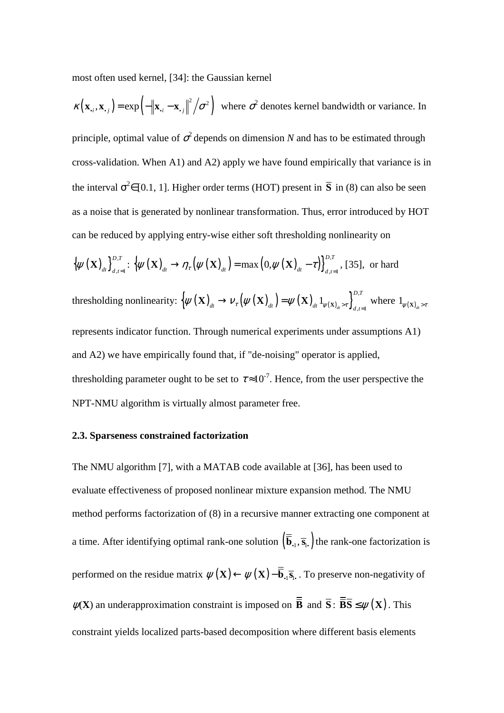most often used kernel, [34]: the Gaussian kernel

$$
\kappa(\mathbf{x}_{\cdot,i}, \mathbf{x}_{\cdot,j}) = \exp\left(-\left\|\mathbf{x}_{\cdot,i} - \mathbf{x}_{\cdot,j}\right\|^2 / \sigma^2\right)
$$
 where  $\sigma^2$  denotes kernel bandwidth or variance. In  
principle, optimal value of  $\sigma^2$  depends on dimension *N* and has to be estimated through  
cross-validation. When A1) and A2) apply we have found empirically that variance is in  
the interval  $\sigma^2 \in [0.1, 1]$ . Higher order terms (HOT) present in  $\overline{S}$  in (8) can also be seen  
as a noise that is generated by nonlinear transformation. Thus, error introduced by HOT  
can be reduced by applying entry-wise either soft thresholding nonlinearity on  
 $\{\psi(\mathbf{X})_{\cdot d}\}_{d,i=1}^{D,T}$ :  $\{\psi(\mathbf{X})_{\cdot d} \rightarrow \eta_{\tau}(\psi(\mathbf{X})_{d}) = \max(0, \psi(\mathbf{X})_{d} - \tau)\}_{d,i=1}^{D,T}$ , [35], or hard  
thresholding nonlinearity:  $\{\psi(\mathbf{X})_{d} \rightarrow \psi_{\tau}(\psi(\mathbf{X})_{d}) = \psi(\mathbf{X})_{d} \mathbf{1}_{\psi(\mathbf{X})_{d} \rightarrow \tau}\}_{d,i=1}^{D,T}$  where  $\mathbf{1}_{\psi(\mathbf{X})_{d} \rightarrow \tau}$   
represents indicator function. Through numerical experiments under assumptions A1)  
and A2) we have empirically found that, if "de-noising" operator is applied,  
thresholding parameter ought to be set to  $\tau \approx 10^{-7}$ . Hence, from the user perspective the  
NPT-NMU algorithm is virtually almost parameter free.

#### **2.3. Sparseness constrained factorization**

The NMU algorithm [7], with a MATAB code available at [36], has been used to evaluate effectiveness of proposed nonlinear mixture expansion method. The NMU method performs factorization of (8) in a recursive manner extracting one component at a time. After identifying optimal rank-one solution  $(\bar{\mathbf{b}}_{.1}, \bar{\mathbf{s}}_{.1})$  the rank-one factorization is performed on the residue matrix  $\psi(\mathbf{X}) \leftarrow \psi(\mathbf{X}) - \overline{\overline{\mathbf{b}}}_{1} \overline{\mathbf{s}}_{1}$ . To preserve non-negativity of  $\psi(\mathbf{X})$  an underapproximation constraint is imposed on  $\overline{\mathbf{B}}$  and  $\overline{\mathbf{S}}$  :  $\overline{\mathbf{B}}\overline{\mathbf{S}} \leq \psi(\mathbf{X})$ . This constraint yields localized parts-based decomposition where different basis elements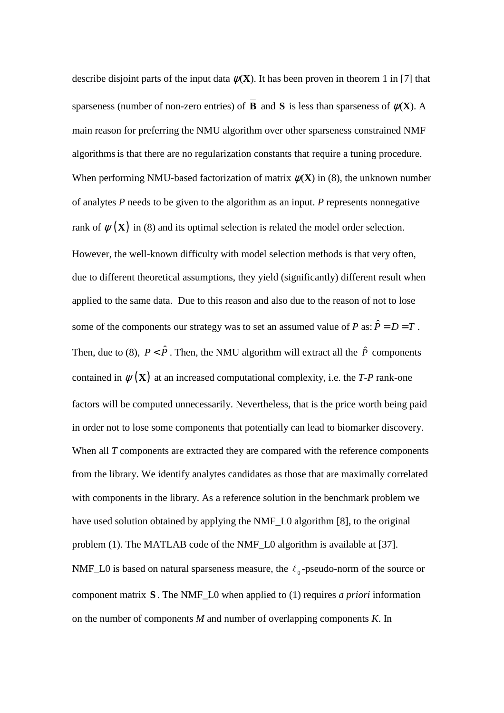describe disjoint parts of the input data  $\psi(\mathbf{X})$ . It has been proven in theorem 1 in [7] that sparseness (number of non-zero entries) of  $\overline{B}$  and  $\overline{S}$  is less than sparseness of  $\psi(\overline{X})$ . A main reason for preferring the NMU algorithm over other sparseness constrained NMF algorithmsis that there are no regularization constants that require a tuning procedure. When performing NMU-based factorization of matrix  $\psi(\mathbf{X})$  in (8), the unknown number of analytes *P* needs to be given to the algorithm as an input. *P* represents nonnegative rank of  $\psi(\mathbf{X})$  in (8) and its optimal selection is related the model order selection. However, the well-known difficulty with model selection methods is that very often, due to different theoretical assumptions, they yield (significantly) different result when applied to the same data. Due to this reason and also due to the reason of not to lose some of the components our strategy was to set an assumed value of *P* as:  $\hat{P} = D = T$ . Then, due to (8),  $P < \hat{P}$ . Then, the NMU algorithm will extract all the  $\hat{P}$  components contained in  $\psi(\mathbf{X})$  at an increased computational complexity, i.e. the *T-P* rank-one factors will be computed unnecessarily. Nevertheless, that is the price worth being paid in order not to lose some components that potentially can lead to biomarker discovery. When all *T* components are extracted they are compared with the reference components from the library. We identify analytes candidates as those that are maximally correlated with components in the library. As a reference solution in the benchmark problem we have used solution obtained by applying the NMF\_L0 algorithm [8], to the original problem (1). The MATLAB code of the NMF\_L0 algorithm is available at [37]. NMF\_L0 is based on natural sparseness measure, the  $\ell_0$ -pseudo-norm of the source or component matrix **S** . The NMF\_L0 when applied to (1) requires *a priori* information on the number of components *M* and number of overlapping components *K*. In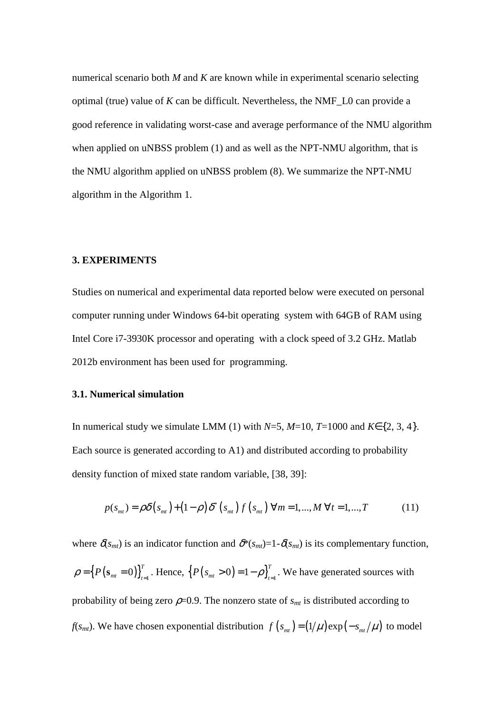numerical scenario both *M* and *K* are known while in experimental scenario selecting optimal (true) value of *K* can be difficult. Nevertheless, the NMF\_L0 can provide a good reference in validating worst-case and average performance of the NMU algorithm when applied on uNBSS problem (1) and as well as the NPT-NMU algorithm, that is the NMU algorithm applied on uNBSS problem (8). We summarize the NPT-NMU algorithm in the Algorithm 1.

#### **3. EXPERIMENTS**

Studies on numerical and experimental data reported below were executed on personal computer running under Windows 64-bit operating system with 64GB of RAM using Intel Core i7-3930K processor and operating with a clock speed of 3.2 GHz. Matlab 2012b environment has been used for programming.

#### **3.1. Numerical simulation**

In numerical study we simulate LMM (1) with  $N=5$ ,  $M=10$ ,  $T=1000$  and  $K \in \{2, 3, 4\}$ . Each source is generated according to A1) and distributed according to probability density function of mixed state random variable, [38, 39]:

$$
p(s_{mt}) = \rho \delta(s_{mt}) + (1 - \rho) \delta^*(s_{mt}) f(s_{mt}) \ \forall m = 1,..., M \ \forall t = 1,..., T
$$
 (11)

where  $\delta(s_{mt})$  is an indicator function and  $\delta^*(s_{mt})=1-\delta(s_{mt})$  is its complementary function,  $P({\bf s}_{mt} = 0) \big]_{t=1}^{T}$  $\rho = \left\{ P(\mathbf{s}_{m t} = 0) \right\}_{t=1}^{T}$ . Hence,  $\left\{ P(s_{m t} > 0) = 1 - \rho \right\}_{t=1}^{T}$ . We have generated sources with probability of being zero  $\rho$ =0.9. The nonzero state of  $s<sub>mt</sub>$  is distributed according to *f*(*s<sub>mt</sub>*). We have chosen exponential distribution  $f(s_m) = (1/\mu) \exp(-s_m/\mu)$  to model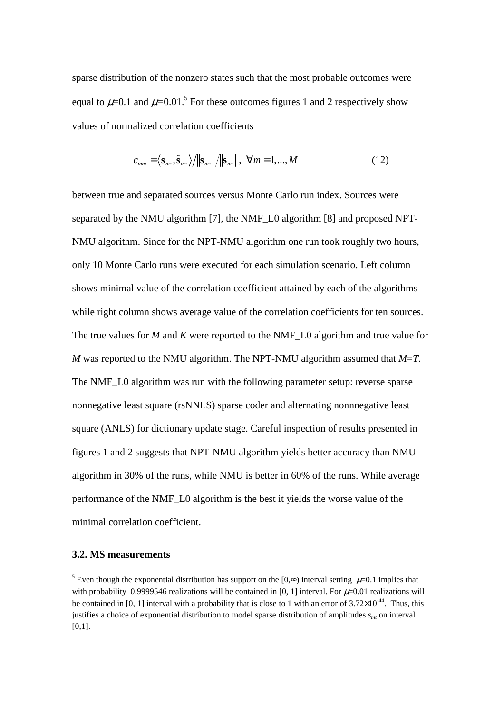sparse distribution of the nonzero states such that the most probable outcomes were equal to  $\mu$ =0.1 and  $\mu$ =0.01.<sup>5</sup> For these outcomes figures 1 and 2 respectively show values of normalized correlation coefficients

$$
c_{mm} = \langle \mathbf{s}_m, \hat{\mathbf{s}}_m. \rangle / \|\mathbf{s}_m.\| / \|\mathbf{s}_m.\|, \ \forall m = 1, ..., M
$$
 (12)

between true and separated sources versus Monte Carlo run index. Sources were separated by the NMU algorithm [7], the NMF\_L0 algorithm [8] and proposed NPT-NMU algorithm. Since for the NPT-NMU algorithm one run took roughly two hours, only 10 Monte Carlo runs were executed for each simulation scenario. Left column shows minimal value of the correlation coefficient attained by each of the algorithms while right column shows average value of the correlation coefficients for ten sources. The true values for *M* and *K* were reported to the NMF\_L0 algorithm and true value for *M* was reported to the NMU algorithm. The NPT-NMU algorithm assumed that *M*=*T*. The NMF\_L0 algorithm was run with the following parameter setup: reverse sparse nonnegative least square (rsNNLS) sparse coder and alternating nonnnegative least square (ANLS) for dictionary update stage. Careful inspection of results presented in figures 1 and 2 suggests that NPT-NMU algorithm yields better accuracy than NMU algorithm in 30% of the runs, while NMU is better in 60% of the runs. While average performance of the NMF\_L0 algorithm is the best it yields the worse value of the minimal correlation coefficient.

#### **3.2. MS measurements**

l

<sup>&</sup>lt;sup>5</sup> Even though the exponential distribution has support on the [0,∞) interval setting  $\mu$ =0.1 implies that with probability 0.9999546 realizations will be contained in [0, 1] interval. For  $\mu$ =0.01 realizations will be contained in [0, 1] interval with a probability that is close to 1 with an error of  $3.72\times10^{-44}$ . Thus, this justifies a choice of exponential distribution to model sparse distribution of amplitudes *smt* on interval  $[0,1]$ .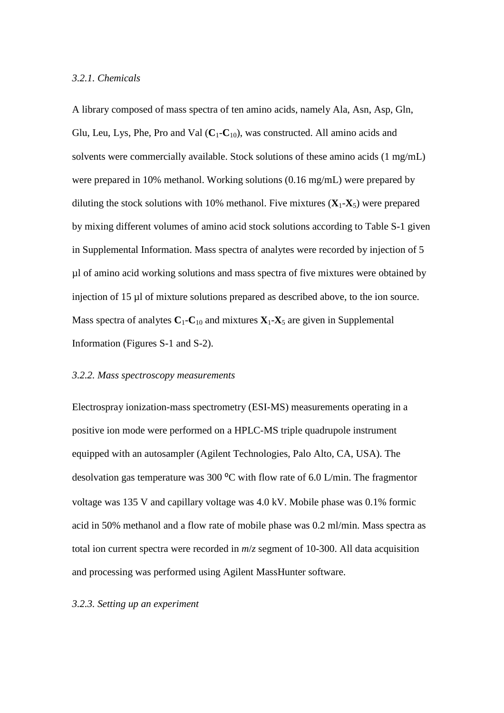#### *3.2.1. Chemicals*

A library composed of mass spectra of ten amino acids, namely Ala, Asn, Asp, Gln, Glu, Leu, Lys, Phe, Pro and Val  $(C_1-C_{10})$ , was constructed. All amino acids and solvents were commercially available. Stock solutions of these amino acids (1 mg/mL) were prepared in 10% methanol. Working solutions (0.16 mg/mL) were prepared by diluting the stock solutions with 10% methanol. Five mixtures  $(X_1 - X_5)$  were prepared by mixing different volumes of amino acid stock solutions according to Table S-1 given in Supplemental Information. Mass spectra of analytes were recorded by injection of 5 µl of amino acid working solutions and mass spectra of five mixtures were obtained by injection of 15 µl of mixture solutions prepared as described above, to the ion source. Mass spectra of analytes  $C_1$ - $C_1$ <sup>0</sup> and mixtures  $X_1$ - $X_5$  are given in Supplemental Information (Figures S-1 and S-2).

#### *3.2.2. Mass spectroscopy measurements*

Electrospray ionization-mass spectrometry (ESI-MS) measurements operating in a positive ion mode were performed on a HPLC-MS triple quadrupole instrument equipped with an autosampler (Agilent Technologies, Palo Alto, CA, USA). The desolvation gas temperature was 300  $^{\circ}$ C with flow rate of 6.0 L/min. The fragmentor voltage was 135 V and capillary voltage was 4.0 kV. Mobile phase was 0.1% formic acid in 50% methanol and a flow rate of mobile phase was 0.2 ml/min. Mass spectra as total ion current spectra were recorded in *m*/*z* segment of 10-300. All data acquisition and processing was performed using Agilent MassHunter software.

#### *3.2.3. Setting up an experiment*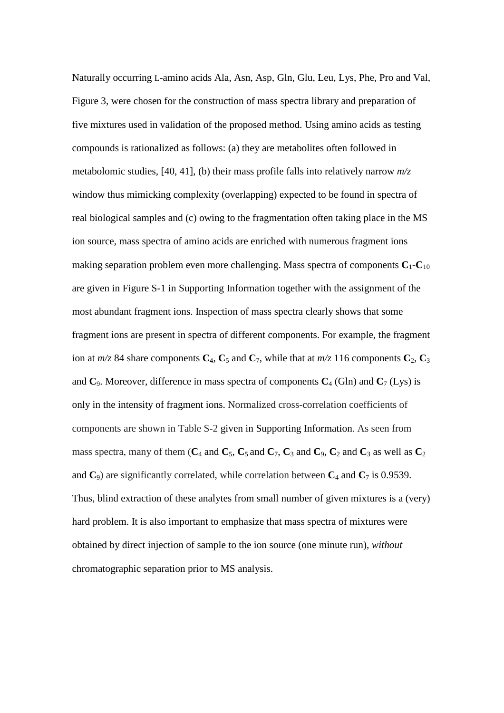Naturally occurring L-amino acids Ala, Asn, Asp, Gln, Glu, Leu, Lys, Phe, Pro and Val, Figure 3, were chosen for the construction of mass spectra library and preparation of five mixtures used in validation of the proposed method. Using amino acids as testing compounds is rationalized as follows: (a) they are metabolites often followed in metabolomic studies, [40, 41], (b) their mass profile falls into relatively narrow *m/z* window thus mimicking complexity (overlapping) expected to be found in spectra of real biological samples and (c) owing to the fragmentation often taking place in the MS ion source, mass spectra of amino acids are enriched with numerous fragment ions making separation problem even more challenging. Mass spectra of components  $C_1$ - $C_{10}$ are given in Figure S-1 in Supporting Information together with the assignment of the most abundant fragment ions. Inspection of mass spectra clearly shows that some fragment ions are present in spectra of different components. For example, the fragment ion at  $m/z$  84 share components  $C_4$ ,  $C_5$  and  $C_7$ , while that at  $m/z$  116 components  $C_2$ ,  $C_3$ and  $C_9$ . Moreover, difference in mass spectra of components  $C_4$  (Gln) and  $C_7$  (Lys) is only in the intensity of fragment ions. Normalized cross-correlation coefficients of components are shown in Table S-2 given in Supporting Information. As seen from mass spectra, many of them  $(C_4$  and  $C_5$ ,  $C_5$  and  $C_7$ ,  $C_3$  and  $C_9$ ,  $C_2$  and  $C_3$  as well as  $C_2$ and  $C_9$ ) are significantly correlated, while correlation between  $C_4$  and  $C_7$  is 0.9539. Thus, blind extraction of these analytes from small number of given mixtures is a (very) hard problem. It is also important to emphasize that mass spectra of mixtures were obtained by direct injection of sample to the ion source (one minute run), *without* chromatographic separation prior to MS analysis.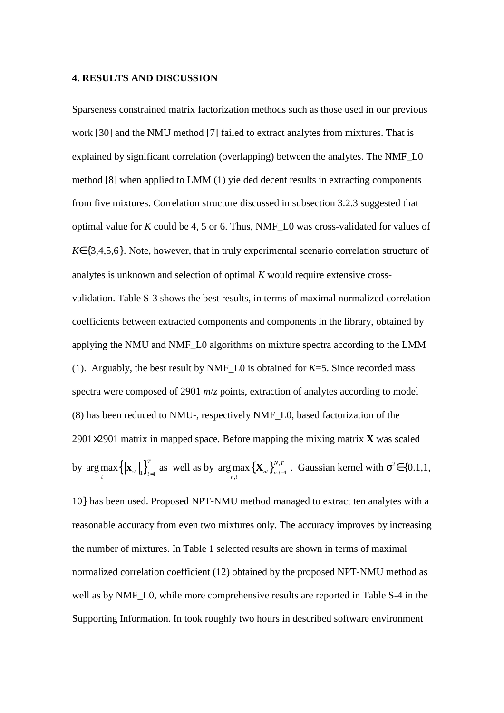#### **4. RESULTS AND DISCUSSION**

Sparseness constrained matrix factorization methods such as those used in our previous work [30] and the NMU method [7] failed to extract analytes from mixtures. That is explained by significant correlation (overlapping) between the analytes. The NMF\_L0 method [8] when applied to LMM (1) yielded decent results in extracting components from five mixtures. Correlation structure discussed in subsection 3.2.3 suggested that optimal value for *K* could be 4, 5 or 6. Thus, NMF\_L0 was cross-validated for values of *K*∈{3,4,5,6}. Note, however, that in truly experimental scenario correlation structure of analytes is unknown and selection of optimal *K* would require extensive crossvalidation. Table S-3 shows the best results, in terms of maximal normalized correlation coefficients between extracted components and components in the library, obtained by applying the NMU and NMF\_L0 algorithms on mixture spectra according to the LMM (1). Arguably, the best result by NMF<sub>L0</sub> is obtained for  $K=5$ . Since recorded mass spectra were composed of 2901 *m*/*z* points, extraction of analytes according to model (8) has been reduced to NMU-, respectively NMF\_L0, based factorization of the 2901×2901 matrix in mapped space. Before mapping the mixing matrix **X** was scaled by  $\arg \max_{t} {\{\|\mathbf{x}_{\cdot t}\|_{1}\}}_{t=1}^{T}$  $\max_t \{ ||\mathbf{x}_{\cdot t}||_1 \}_{t=1}^T$  as well as by  $\argmax_{n,t} {\{\mathbf{X}_{nt}\}}_{n,t=1}^{N,T}$ arg max  $\left\{\mathbf{X}_{nt}\right\}_{n=1}^{N,T}$  $\max_{n,t} {\mathbf{X}_{nt}}_{n,t=1}^{N,T}$ . Gaussian kernel with  $\sigma^2 \in \{0.1,1,$ 

10} has been used. Proposed NPT-NMU method managed to extract ten analytes with a reasonable accuracy from even two mixtures only. The accuracy improves by increasing the number of mixtures. In Table 1 selected results are shown in terms of maximal normalized correlation coefficient (12) obtained by the proposed NPT-NMU method as well as by NMF\_L0, while more comprehensive results are reported in Table S-4 in the Supporting Information. In took roughly two hours in described software environment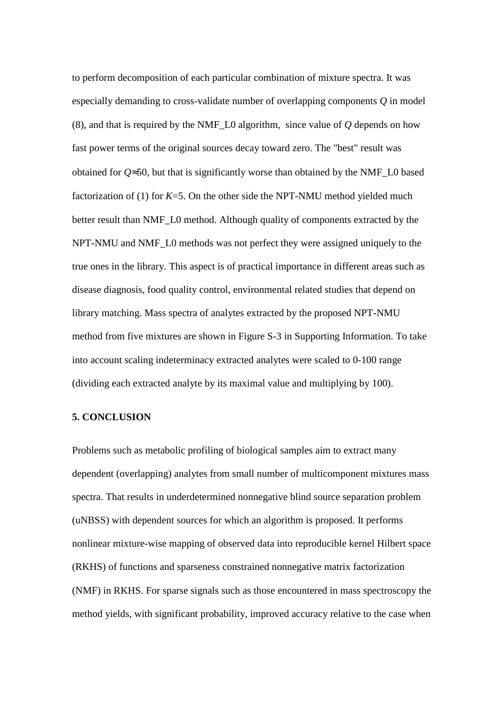to perform decomposition of each particular combination of mixture spectra. It was especially demanding to cross-validate number of overlapping components *Q* in model (8), and that is required by the NMF\_L0 algorithm, since value of *Q* depends on how fast power terms of the original sources decay toward zero. The "best" result was obtained for *Q*≈50, but that is significantly worse than obtained by the NMF\_L0 based factorization of (1) for *K*=5. On the other side the NPT-NMU method yielded much better result than NMF<sub>L0</sub> method. Although quality of components extracted by the NPT-NMU and NMF\_L0 methods was not perfect they were assigned uniquely to the true ones in the library. This aspect is of practical importance in different areas such as disease diagnosis, food quality control, environmental related studies that depend on library matching. Mass spectra of analytes extracted by the proposed NPT-NMU method from five mixtures are shown in Figure S-3 in Supporting Information. To take into account scaling indeterminacy extracted analytes were scaled to 0-100 range (dividing each extracted analyte by its maximal value and multiplying by 100).

#### **5. CONCLUSION**

Problems such as metabolic profiling of biological samples aim to extract many dependent (overlapping) analytes from small number of multicomponent mixtures mass spectra. That results in underdetermined nonnegative blind source separation problem (uNBSS) with dependent sources for which an algorithm is proposed. It performs nonlinear mixture-wise mapping of observed data into reproducible kernel Hilbert space (RKHS) of functions and sparseness constrained nonnegative matrix factorization (NMF) in RKHS. For sparse signals such as those encountered in mass spectroscopy the method yields, with significant probability, improved accuracy relative to the case when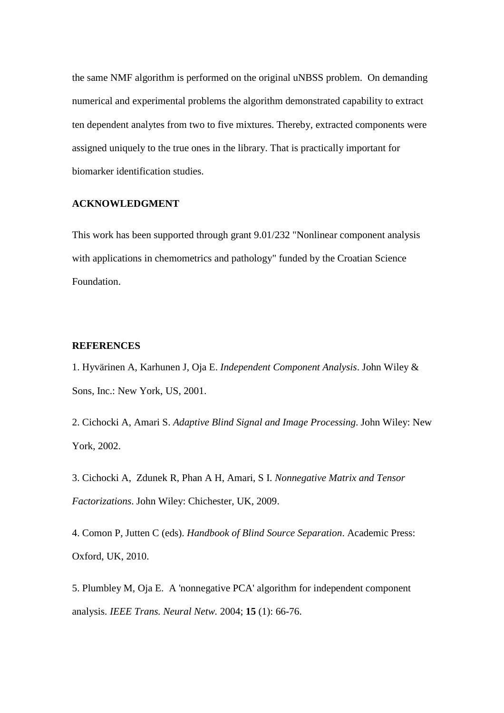the same NMF algorithm is performed on the original uNBSS problem. On demanding numerical and experimental problems the algorithm demonstrated capability to extract ten dependent analytes from two to five mixtures. Thereby, extracted components were assigned uniquely to the true ones in the library. That is practically important for biomarker identification studies.

#### **ACKNOWLEDGMENT**

This work has been supported through grant 9.01/232 "Nonlinear component analysis with applications in chemometrics and pathology" funded by the Croatian Science Foundation.

#### **REFERENCES**

1. Hyvärinen A, Karhunen J, Oja E. *Independent Component Analysis*. John Wiley & Sons, Inc.: New York, US, 2001.

2. Cichocki A, Amari S. *Adaptive Blind Signal and Image Processing*. John Wiley: New York, 2002.

3. Cichocki A, Zdunek R, Phan A H, Amari, S I. *Nonnegative Matrix and Tensor Factorizations*. John Wiley: Chichester, UK, 2009.

4. Comon P, Jutten C (eds). *Handbook of Blind Source Separation*. Academic Press: Oxford, UK, 2010.

5. Plumbley M, Oja E. A 'nonnegative PCA' algorithm for independent component analysis. *IEEE Trans. Neural Netw.* 2004; **15** (1): 66-76.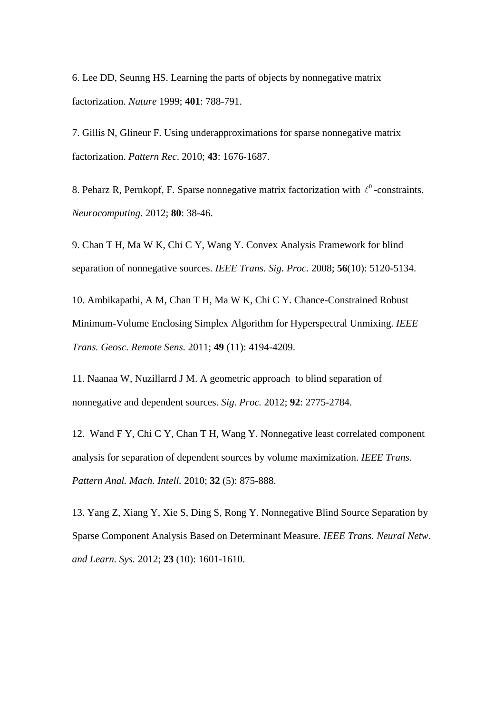6. Lee DD, Seunng HS. Learning the parts of objects by nonnegative matrix factorization. *Nature* 1999; **401**: 788-791.

7. Gillis N, Glineur F. Using underapproximations for sparse nonnegative matrix factorization. *Pattern Rec*. 2010; **43**: 1676-1687.

8. Peharz R, Pernkopf, F. Sparse nonnegative matrix factorization with  $\ell^0$ -constraints. *Neurocomputing*. 2012; **80**: 38-46.

9. Chan T H, Ma W K, Chi C Y, Wang Y. Convex Analysis Framework for blind separation of nonnegative sources. *IEEE Trans. Sig. Proc.* 2008; **56**(10): 5120-5134.

10. Ambikapathi, A M, Chan T H, Ma W K, Chi C Y. Chance-Constrained Robust Minimum-Volume Enclosing Simplex Algorithm for Hyperspectral Unmixing. *IEEE Trans. Geosc. Remote Sens.* 2011; **49** (11): 4194-4209.

11. Naanaa W, Nuzillarrd J M. A geometric approach to blind separation of nonnegative and dependent sources. *Sig. Proc.* 2012; **92**: 2775-2784.

12. Wand F Y, Chi C Y, Chan T H, Wang Y. Nonnegative least correlated component analysis for separation of dependent sources by volume maximization. *IEEE Trans. Pattern Anal. Mach. Intell.* 2010; **32** (5): 875-888.

13. Yang Z, Xiang Y, Xie S, Ding S, Rong Y. Nonnegative Blind Source Separation by Sparse Component Analysis Based on Determinant Measure. *IEEE Trans. Neural Netw. and Learn. Sys.* 2012; **23** (10): 1601-1610.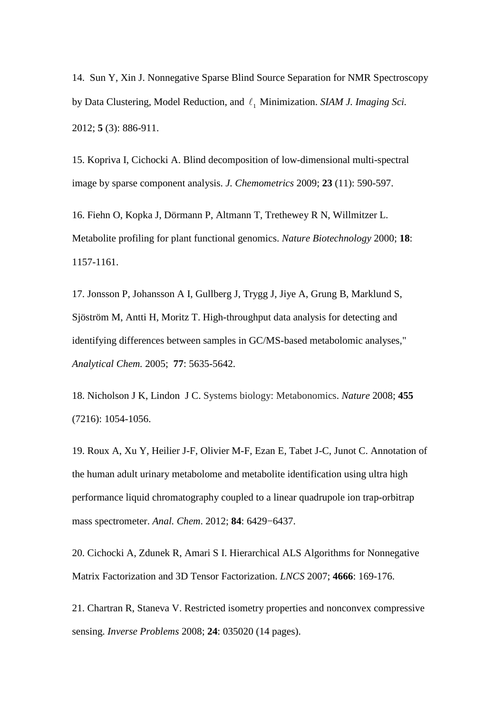14. Sun Y, Xin J. Nonnegative Sparse Blind Source Separation for NMR Spectroscopy by Data Clustering, Model Reduction, and  $\ell_1$  Minimization. *SIAM J. Imaging Sci.* 2012; **5** (3): 886-911.

15. Kopriva I, Cichocki A. Blind decomposition of low-dimensional multi-spectral image by sparse component analysis. *J. Chemometrics* 2009; **23** (11): 590-597.

16. Fiehn O, Kopka J, Dörmann P, Altmann T, Trethewey R N, Willmitzer L. Metabolite profiling for plant functional genomics. *Nature Biotechnology* 2000; **18**: 1157-1161.

17. Jonsson P, Johansson A I, Gullberg J, Trygg J, Jiye A, Grung B, Marklund S, Sjöström M, Antti H, Moritz T. High-throughput data analysis for detecting and identifying differences between samples in GC/MS-based metabolomic analyses," *Analytical Chem.* 2005; **77**: 5635-5642.

18. Nicholson J K, Lindon J C. Systems biology: Metabonomics. *Nature* 2008; **455**  (7216): 1054-1056.

19. Roux A, Xu Y, Heilier J-F, Olivier M-F, Ezan E, Tabet J-C, Junot C. Annotation of the human adult urinary metabolome and metabolite identification using ultra high performance liquid chromatography coupled to a linear quadrupole ion trap-orbitrap mass spectrometer. *Anal. Chem*. 2012; **84**: 6429−6437.

20. Cichocki A, Zdunek R, Amari S I. Hierarchical ALS Algorithms for Nonnegative Matrix Factorization and 3D Tensor Factorization. *LNCS* 2007; **4666**: 169-176.

21. Chartran R, Staneva V. Restricted isometry properties and nonconvex compressive sensing. *Inverse Problems* 2008; **24**: 035020 (14 pages).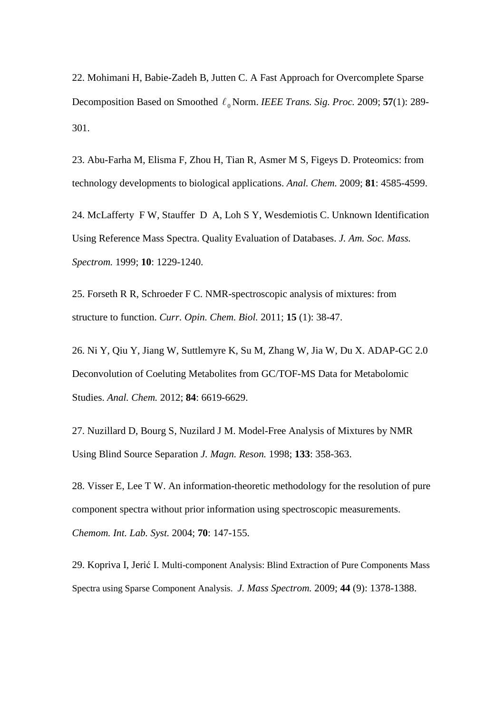22. Mohimani H, Babie-Zadeh B, Jutten C. A Fast Approach for Overcomplete Sparse Decomposition Based on Smoothed  $\ell_0$  Norm. *IEEE Trans. Sig. Proc.* 2009; **57**(1): 289-301.

23. Abu-Farha M, Elisma F, Zhou H, Tian R, Asmer M S, Figeys D. Proteomics: from technology developments to biological applications. *Anal. Chem.* 2009; **81**: 4585-4599.

24. McLafferty F W, Stauffer D A, Loh S Y, Wesdemiotis C. Unknown Identification Using Reference Mass Spectra. Quality Evaluation of Databases. *J. Am. Soc. Mass. Spectrom.* 1999; **10**: 1229-1240.

25. Forseth R R, Schroeder F C. NMR-spectroscopic analysis of mixtures: from structure to function. *Curr. Opin. Chem. Biol.* 2011; **15** (1): 38-47.

26. Ni Y, Qiu Y, Jiang W, Suttlemyre K, Su M, Zhang W, Jia W, Du X. ADAP-GC 2.0 Deconvolution of Coeluting Metabolites from GC/TOF-MS Data for Metabolomic Studies. *Anal. Chem.* 2012; **84**: 6619-6629.

27. Nuzillard D, Bourg S, Nuzilard J M. Model-Free Analysis of Mixtures by NMR Using Blind Source Separation *J. Magn. Reson.* 1998; **133**: 358-363.

28. Visser E, Lee T W. An information-theoretic methodology for the resolution of pure component spectra without prior information using spectroscopic measurements. *Chemom. Int. Lab. Syst.* 2004; **70**: 147-155.

29. Kopriva I, Jerić I. Multi-component Analysis: Blind Extraction of Pure Components Mass Spectra using Sparse Component Analysis. *J. Mass Spectrom.* 2009; **44** (9): 1378-1388.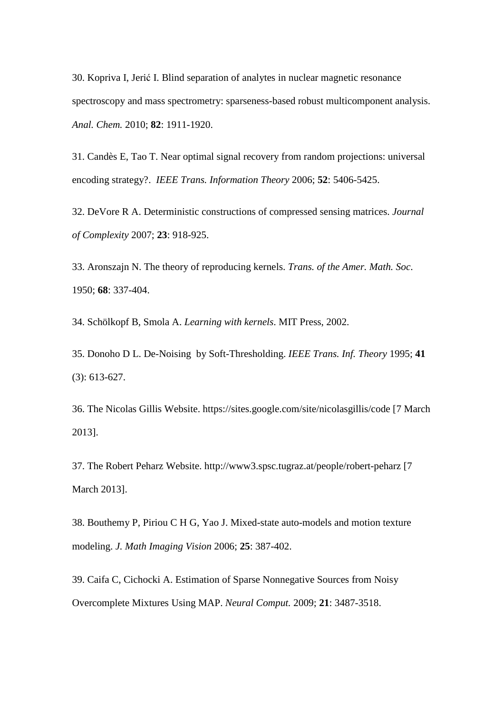30. Kopriva I, Jerić I. Blind separation of analytes in nuclear magnetic resonance spectroscopy and mass spectrometry: sparseness-based robust multicomponent analysis. *Anal. Chem.* 2010; **82**: 1911-1920.

31. Candès E, Tao T. Near optimal signal recovery from random projections: universal encoding strategy?. *IEEE Trans. Information Theory* 2006; **52**: 5406-5425.

32. DeVore R A. Deterministic constructions of compressed sensing matrices. *Journal of Complexity* 2007; **23**: 918-925.

33. Aronszajn N. The theory of reproducing kernels. *Trans. of the Amer. Math. Soc*. 1950; **68**: 337-404.

34. Schölkopf B, Smola A. *Learning with kernels*. MIT Press, 2002.

35. Donoho D L. De-Noising by Soft-Thresholding. *IEEE Trans. Inf. Theory* 1995; **41**  (3): 613-627.

36. The Nicolas Gillis Website. https://sites.google.com/site/nicolasgillis/code [7 March 2013].

37. The Robert Peharz Website. http://www3.spsc.tugraz.at/people/robert-peharz [7 March 2013].

38. Bouthemy P, Piriou C H G, Yao J. Mixed-state auto-models and motion texture modeling. *J. Math Imaging Vision* 2006; **25**: 387-402.

39. Caifa C, Cichocki A. Estimation of Sparse Nonnegative Sources from Noisy Overcomplete Mixtures Using MAP. *Neural Comput.* 2009; **21**: 3487-3518.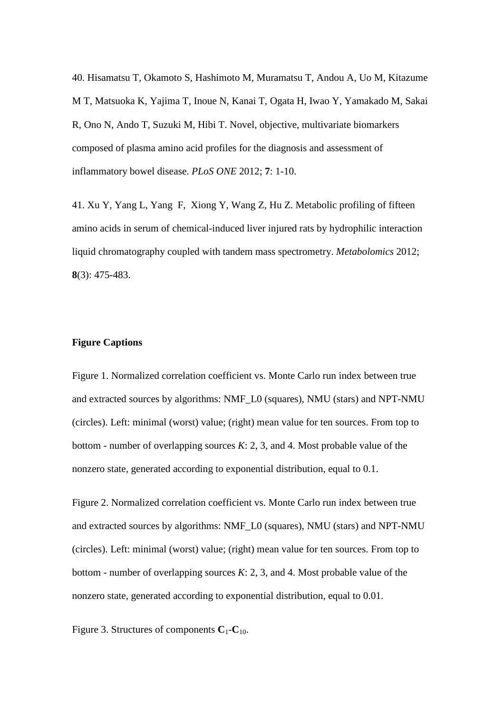40. Hisamatsu T, Okamoto S, Hashimoto M, Muramatsu T, Andou A, Uo M, Kitazume M T, Matsuoka K, Yajima T, Inoue N, Kanai T, Ogata H, Iwao Y, Yamakado M, Sakai R, Ono N, Ando T, Suzuki M, Hibi T. Novel, objective, multivariate biomarkers composed of plasma amino acid profiles for the diagnosis and assessment of inflammatory bowel disease. *PLoS ONE* 2012; **7**: 1-10.

41. Xu Y, Yang L, Yang F, Xiong Y, Wang Z, Hu Z. Metabolic profiling of fifteen amino acids in serum of chemical-induced liver injured rats by hydrophilic interaction liquid chromatography coupled with tandem mass spectrometry. *Metabolomics* 2012; **8**(3): 475-483.

#### **Figure Captions**

Figure 1. Normalized correlation coefficient vs. Monte Carlo run index between true and extracted sources by algorithms: NMF\_L0 (squares), NMU (stars) and NPT-NMU (circles). Left: minimal (worst) value; (right) mean value for ten sources. From top to bottom - number of overlapping sources *K*: 2, 3, and 4. Most probable value of the nonzero state, generated according to exponential distribution, equal to 0.1.

Figure 2. Normalized correlation coefficient vs. Monte Carlo run index between true and extracted sources by algorithms: NMF\_L0 (squares), NMU (stars) and NPT-NMU (circles). Left: minimal (worst) value; (right) mean value for ten sources. From top to bottom - number of overlapping sources *K*: 2, 3, and 4. Most probable value of the nonzero state, generated according to exponential distribution, equal to 0.01.

Figure 3. Structures of components  $C_1 - C_1$ <sub>0</sub>.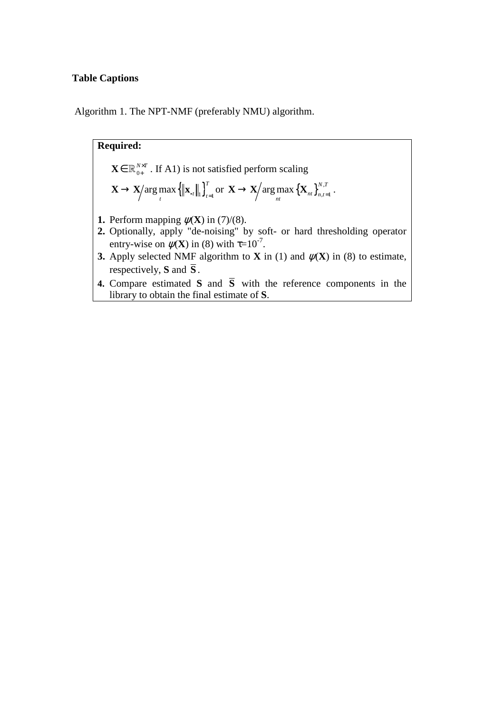### **Table Captions**

Algorithm 1. The NPT-NMF (preferably NMU) algorithm.

\n- **Required:** 
$$
\mathbf{X} \in \mathbb{R}_{0+}^{N \times T}
$$
. If A1) is not satisfied perform scaling  $\mathbf{X} \rightarrow \mathbf{X} / \arg \max \left\{ \left\| \mathbf{x}_{\cdot t} \right\|_{1} \right\}_{t=1}^{T}$  or  $\mathbf{X} \rightarrow \mathbf{X} / \arg \max \left\{ \mathbf{X}_{nt} \right\}_{n,t=1}^{N,T}$ .
\n- **1.** Perform mapping  $\psi(\mathbf{X})$  in (7)/(8).
\n- **2.** Optionally, apply "de-noising" by soft- or hard thresholding operator entry-wise on  $\psi(\mathbf{X})$  in (8) with  $\tau = 10^{-7}$ .
\n- **3.** Apply selected NMF algorithm to **X** in (1) and  $\psi(\mathbf{X})$  in (8) to estimate, respectively, **S** and **S**.
\n- **4.** Compare estimated **S** and **S** with the reference components in the library to obtain the final estimate of **S**.
\n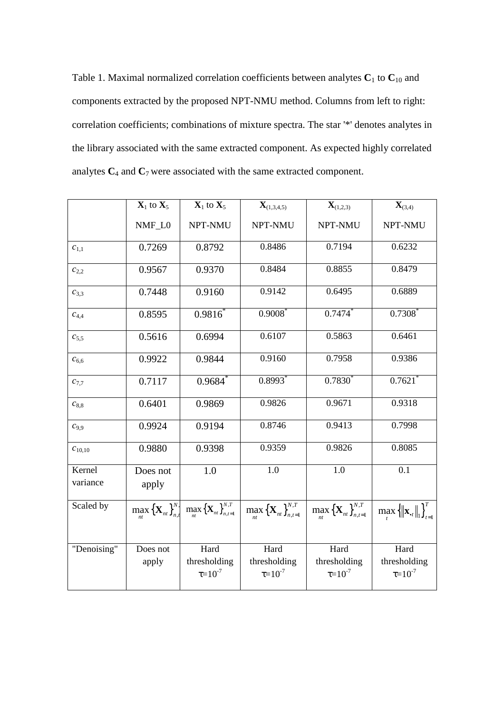Table 1. Maximal normalized correlation coefficients between analytes  $C_1$  to  $C_{10}$  and components extracted by the proposed NPT-NMU method. Columns from left to right: correlation coefficients; combinations of mixture spectra. The star '\*' denotes analytes in the library associated with the same extracted component. As expected highly correlated analytes  $C_4$  and  $C_7$  were associated with the same extracted component.

|                    | $\mathbf{X}_1$ to $\mathbf{X}_5$ | $X_1$ to $X_5$                                                                                      | $\mathbf{X}_{(1,3,4,5)}$                                       | ${\bf X}_{(1,2,3)}$                                                                                                                                          | ${\bf X}_{(3,4)}$                        |
|--------------------|----------------------------------|-----------------------------------------------------------------------------------------------------|----------------------------------------------------------------|--------------------------------------------------------------------------------------------------------------------------------------------------------------|------------------------------------------|
|                    | NMF_L0                           | NPT-NMU                                                                                             | NPT-NMU                                                        | NPT-NMU                                                                                                                                                      | NPT-NMU                                  |
| $c_{1,1}$          | 0.7269                           | 0.8792                                                                                              | 0.8486                                                         | 0.7194                                                                                                                                                       | 0.6232                                   |
| $c_{2,2}$          | 0.9567                           | 0.9370                                                                                              | 0.8484                                                         | 0.8855                                                                                                                                                       | 0.8479                                   |
| $c_{3,3}$          | 0.7448                           | 0.9160                                                                                              | 0.9142                                                         | 0.6495                                                                                                                                                       | 0.6889                                   |
| $C_{4,4}$          | 0.8595                           | $0.9816^*$                                                                                          | $0.9008$ *                                                     | $0.7474*$                                                                                                                                                    | $0.7308*$                                |
| $c_{5,5}$          | 0.5616                           | 0.6994                                                                                              | 0.6107                                                         | 0.5863                                                                                                                                                       | 0.6461                                   |
| $c_{6,6}$          | 0.9922                           | 0.9844                                                                                              | 0.9160                                                         | 0.7958                                                                                                                                                       | 0.9386                                   |
| $c_{7,7}$          | 0.7117                           | 0.9684                                                                                              | $0.8993$ <sup>*</sup>                                          | $0.7830^{*}$                                                                                                                                                 | $0.7621$ <sup>*</sup>                    |
| $c_{8,8}$          | 0.6401                           | 0.9869                                                                                              | 0.9826                                                         | 0.9671                                                                                                                                                       | 0.9318                                   |
| $C_{9,9}$          | 0.9924                           | 0.9194                                                                                              | 0.8746                                                         | 0.9413                                                                                                                                                       | 0.7998                                   |
| $C_{10,10}$        | 0.9880                           | 0.9398                                                                                              | 0.9359                                                         | 0.9826                                                                                                                                                       | 0.8085                                   |
| Kernel<br>variance | Does not<br>apply                | 1.0                                                                                                 | 1.0                                                            | 1.0                                                                                                                                                          | 0.1                                      |
| Scaled by          |                                  | $\max_{n} {\{\mathbf{X}_{nt}\}}_{n,t}^{N, \mathbf{N}} \max_{n} {\{\mathbf{X}_{nt}\}}_{n,t=1}^{N,T}$ | $\max_{n} {\left\{ {\mathbf{X}_{nt} } \right\}_{n,t=1}^{N,T}}$ | $\left  \max_{nt} {\left\{ {\bf{X}}_{nt} \right\}_{n,t=1}^{N,T}} \right  \max_{t=1} {\left\{ {\left\  {{\bf{x}}_{\bf{.t}}} \right\ _1 } \right\}_{t=1}^{T}}$ |                                          |
| "Denoising"        | Does not<br>apply                | Hard<br>thresholding<br>$\tau = 10^{-7}$                                                            | Hard<br>thresholding<br>$\tau = 10^{-7}$                       | Hard<br>thresholding<br>$\tau = 10^{-7}$                                                                                                                     | Hard<br>thresholding<br>$\tau = 10^{-7}$ |